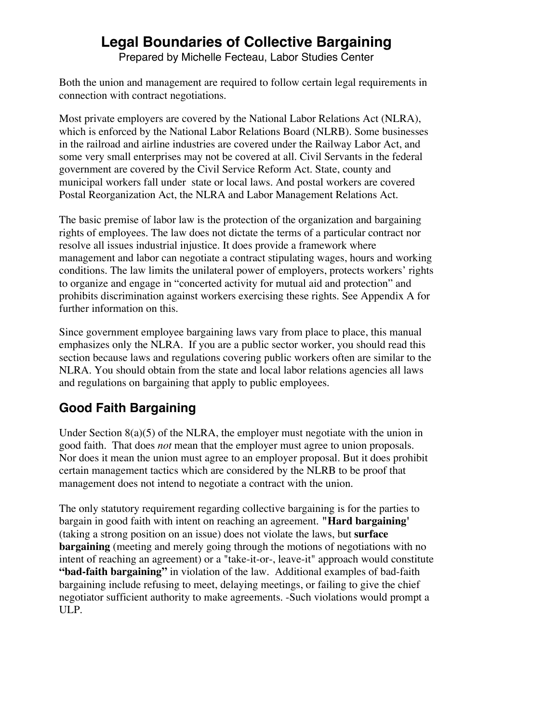# **Legal Boundaries of Collective Bargaining**

Prepared by Michelle Fecteau, Labor Studies Center

Both the union and management are required to follow certain legal requirements in connection with contract negotiations.

Most private employers are covered by the National Labor Relations Act (NLRA), which is enforced by the National Labor Relations Board (NLRB). Some businesses in the railroad and airline industries are covered under the Railway Labor Act, and some very small enterprises may not be covered at all. Civil Servants in the federal government are covered by the Civil Service Reform Act. State, county and municipal workers fall under state or local laws. And postal workers are covered Postal Reorganization Act, the NLRA and Labor Management Relations Act.

The basic premise of labor law is the protection of the organization and bargaining rights of employees. The law does not dictate the terms of a particular contract nor resolve all issues industrial injustice. It does provide a framework where management and labor can negotiate a contract stipulating wages, hours and working conditions. The law limits the unilateral power of employers, protects workers' rights to organize and engage in "concerted activity for mutual aid and protection" and prohibits discrimination against workers exercising these rights. See Appendix A for further information on this.

Since government employee bargaining laws vary from place to place, this manual emphasizes only the NLRA. If you are a public sector worker, you should read this section because laws and regulations covering public workers often are similar to the NLRA. You should obtain from the state and local labor relations agencies all laws and regulations on bargaining that apply to public employees.

### **Good Faith Bargaining**

Under Section 8(a)(5) of the NLRA, the employer must negotiate with the union in good faith. That does *not* mean that the employer must agree to union proposals. Nor does it mean the union must agree to an employer proposal. But it does prohibit certain management tactics which are considered by the NLRB to be proof that management does not intend to negotiate a contract with the union.

The only statutory requirement regarding collective bargaining is for the parties to bargain in good faith with intent on reaching an agreement. **"Hard bargaining'** (taking a strong position on an issue) does not violate the laws, but **surface bargaining** (meeting and merely going through the motions of negotiations with no intent of reaching an agreement) or a "take-it-or-, leave-it" approach would constitute **"bad-faith bargaining"** in violation of the law. Additional examples of bad-faith bargaining include refusing to meet, delaying meetings, or failing to give the chief negotiator sufficient authority to make agreements. -Such violations would prompt a ULP.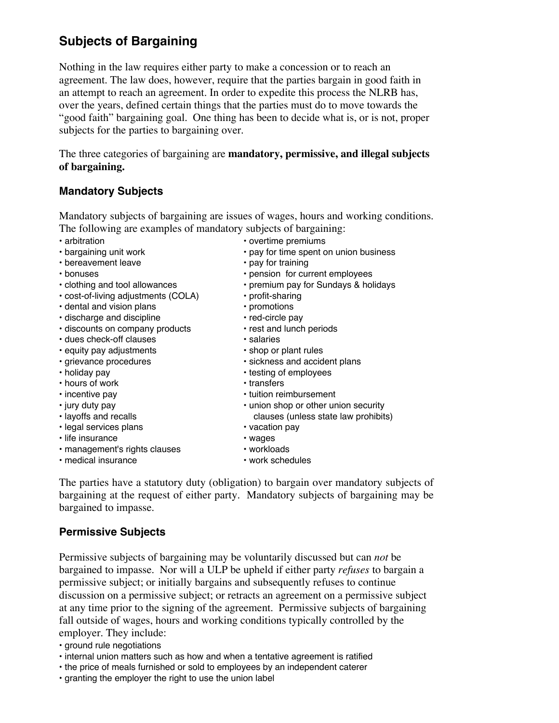### **Subjects of Bargaining**

Nothing in the law requires either party to make a concession or to reach an agreement. The law does, however, require that the parties bargain in good faith in an attempt to reach an agreement. In order to expedite this process the NLRB has, over the years, defined certain things that the parties must do to move towards the "good faith" bargaining goal. One thing has been to decide what is, or is not, proper subjects for the parties to bargaining over.

The three categories of bargaining are **mandatory, permissive, and illegal subjects of bargaining.**

#### **Mandatory Subjects**

Mandatory subjects of bargaining are issues of wages, hours and working conditions. The following are examples of mandatory subjects of bargaining:

- 
- 
- 
- 
- 
- cost-of-living adjustments (COLA) profit-sharing
- dental and vision plans **•** promotions
- discharge and discipline red-circle pay
- discounts on company products rest and lunch periods
- dues check-off clauses salaries
- equity pay adjustments shop or plant rules
- 
- 
- hours of work transfers
- 
- 
- layoffs and recalls clauses (unless state law prohibits)
- legal services plans vacation pay
- life insurance wages
- management's rights clauses workloads
- 
- medical insurance work schedules
- 

The parties have a statutory duty (obligation) to bargain over mandatory subjects of bargaining at the request of either party. Mandatory subjects of bargaining may be bargained to impasse.

#### **Permissive Subjects**

Permissive subjects of bargaining may be voluntarily discussed but can *not* be bargained to impasse. Nor will a ULP be upheld if either party *refuses* to bargain a permissive subject; or initially bargains and subsequently refuses to continue discussion on a permissive subject; or retracts an agreement on a permissive subject at any time prior to the signing of the agreement. Permissive subjects of bargaining fall outside of wages, hours and working conditions typically controlled by the employer. They include:

• ground rule negotiations

- internal union matters such as how and when a tentative agreement is ratified
- the price of meals furnished or sold to employees by an independent caterer
- granting the employer the right to use the union label

- arbitration overtime premiums • bargaining unit work • pay for time spent on union business • bereavement leave • pay for training • bonuses • pension for current employees • clothing and tool allowances • premium pay for Sundays & holidays
	-
	-
	-
	-
- grievance procedures sickness and accident plans
- holiday pay **•** testing of employees
	-
- incentive pay **•** tuition reimbursement
- jury duty pay union shop or other union security
	-
	-
	-
	-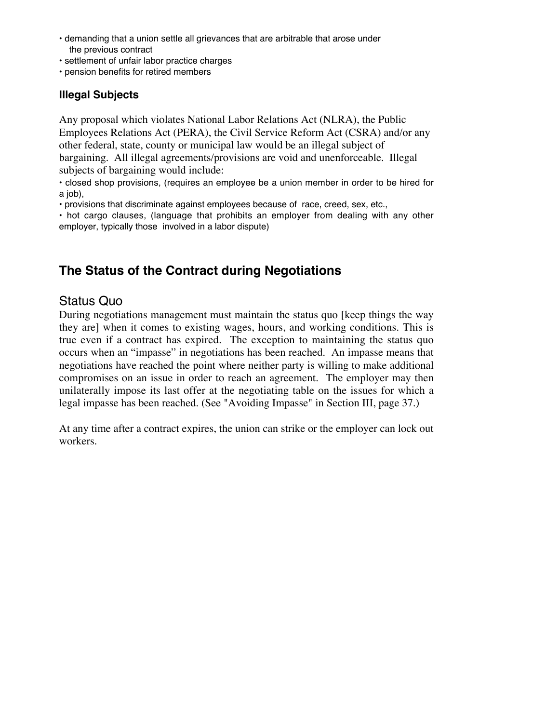- demanding that a union settle all grievances that are arbitrable that arose under the previous contract
- settlement of unfair labor practice charges
- pension benefits for retired members

#### **Illegal Subjects**

Any proposal which violates National Labor Relations Act (NLRA), the Public Employees Relations Act (PERA), the Civil Service Reform Act (CSRA) and/or any other federal, state, county or municipal law would be an illegal subject of bargaining. All illegal agreements/provisions are void and unenforceable. Illegal subjects of bargaining would include:

• closed shop provisions, (requires an employee be a union member in order to be hired for a job).

• provisions that discriminate against employees because of race, creed, sex, etc.,

• hot cargo clauses, (language that prohibits an employer from dealing with any other employer, typically those involved in a labor dispute)

## **The Status of the Contract during Negotiations**

### Status Quo

During negotiations management must maintain the status quo [keep things the way they are] when it comes to existing wages, hours, and working conditions. This is true even if a contract has expired. The exception to maintaining the status quo occurs when an "impasse" in negotiations has been reached. An impasse means that negotiations have reached the point where neither party is willing to make additional compromises on an issue in order to reach an agreement. The employer may then unilaterally impose its last offer at the negotiating table on the issues for which a legal impasse has been reached. (See "Avoiding Impasse" in Section III, page 37.)

At any time after a contract expires, the union can strike or the employer can lock out workers.